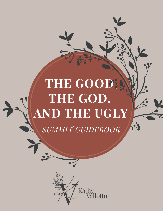# **THE GOOD, THE GOD, AND THE UGLY**



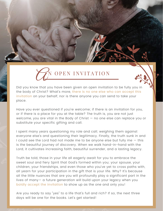

Did you know that you have been given an open invitation to be fully you in the body of Christ? What's more, there is no one else who can accept this invitation on your behalf, nor is there anyone you can send to take your place.

Have you ever questioned if you're welcome; if there is an invitation for you, or if there is a place for you at the table? The truth is, you are not just welcome, you are vital in the Body of Christ — no one else can replace you or substitute your specific gifting and call.

I spent many years questioning my role and call; weighing them against everyone else's and questioning their legitimacy. Finally, the truth sunk in and I could see the Lord had not made me to be anyone else but fully me  $-$  this is the beautiful journey of discovery. When we walk hand-in-hand with the Lord, it cultivates increasing faith, beautiful surrender, and a lasting legacy.

Truth be told, those in your life all eagerly await for you to embrace the sweet soul and fiery Spirit that God's formed within you; your spouse, your children, your friendships, and even those who you've yet to cross paths with, all yearn for your participation in the gift that is your life. Why? It's because all the little nuances that are you will profoundly play a significant part in the lives of many— a future generation will build upon your legacy when you boldly accept the invitation to show up as the one and only you!

Are you ready to say "yes" to a life that's full and rich? If so, the next three days will be one for the books. Let's get started!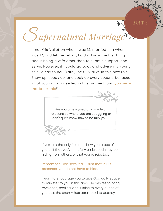## S*upernatural Marriage*

*DAY 1*

I met Kris Vallotton when I was 12, married him when I was 17, and let me tell ya, I didn't know the first thing about being a wife other than to submit, support, and serve. However, if I could go back and advise my young self, I'd say to her, "Kathy, be fully alive in this new role. Show up, speak up, and soak up every second because what you carry is needed in this moment, and you were made for this!"

> Are you a newlywed or in a role or relationship where you are struggling or don't quite know how to be fully you?

If yes, ask the Holy Spirit to show you areas of yourself that you've not fully embraced, may be hiding from others, or that you've rejected.

Remember, God sees it all. Trust that in His presence, you do not have to hide.

I want to encourage you to give God daily space to minister to you in this area. He desires to bring revelation, healing, and justice to every ounce of you that the enemy has attempted to destroy.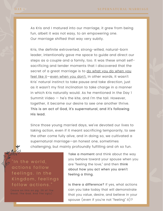As Kris and I matured into our marriage, it grew from being fun, albeit it was not easy, to an empowering one. Our marriage shifted that way very subtly.

Kris, the definite extroverted, strong-willed, natural-born leader, intentionally gave me space to guide and direct our steps as a couple and a family, too. It was these small selfsacrificing and tender moments that I discovered that the secret of a great marriage is to do what you do when you feel like it—even when you don't. In other words, It wasn't Kris' natural instinct to take pause and take direction, just as it wasn't my first inclination to take charge in a manner in which Kris naturally would. As he mentioned in the Day 1 Summit Video — he's the kite, and I'm the tail. However, together, it became our desire to see one another thrive. This is an act of God, it's supernatural, and it's following His lead.

Since those young married days, we've devoted our lives to taking action, even if it meant sacrificing temporarily, to see the other come fully alive, and in doing so, we cultivated a supernatural marriage—an honest one, sometimes challenging, but mainly profoundly fulfilling and oh so fun.



(more on this on pg. 26 of The Good, The God, And The Ugly $)$ 

Take a moment and think about the way you behave toward your spouse when you are "feeling the love," and then think about how you act when you aren't feeling a thing.

Is there a difference? If yes, what actions can you take today that will demonstrate that you value, desire, and believe in your spouse (even if you're not "feeling" it)?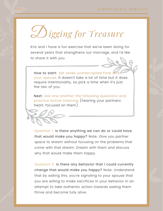D*igging for Treasure*

Kris and I have a fun exercise that we've been doing for several years that strengthens our marriage, and I'd like to share it with you.

How to start: Set aside uninterrupted time with your spouse. It doesn't take a lot of time but it does require intentionality, so pick a time when it's just the two of you.

Next: Ask one another the following questions and practice active listening (hearing your partners heart, focused on them).



Question 1: Is there anything we can do or could have that would make you happy? Note: Give you partner space to dream without focusing on the problems that come with that dream. Dream with them and discuss why that would make them happy.

Question 2: Is there any behavior that I could currently change that would make you happy? Note: Understand that by asking this, you're signaling to your spouse that you are willing to make sacrifices in your behavior in an attempt to take authentic action towards seeing them thrive and become fully alive.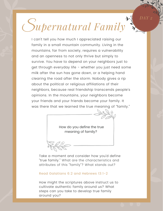## S*upernatural Family*

*DAY 2*

I can't tell you how much I appreciated raising our family in a small mountain community. Living in the mountains, far from society, requires a vulnerability and an openness to not only thrive but simply to survive. You have to depend on your neighbors just to get through everyday life - whether you just need some milk after the sun has gone down, or a helping hand clearing the road after the storm. Nobody gives a rip about the political or religious affiliations of their neighbors, because real friendship transcends people's opinions. In the mountains, your neighbors become your friends and your friends become your family. It was there that we learned the true meaning of "family."

> How do you define the true meaning of family?

Take a moment and consider how you'd define "true family." What are the characteristics and attributes of this "family"? What stands out?

#### Read Galatians 6:2 and Hebrews 13:1-2

How might the scriptures above instruct us to cultivate authentic family around us? What steps can you take to develop true family around you?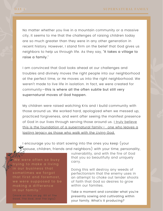No matter whether you live in a mountain community or a massive city, it seems to me that the challenges of raising children today are so much greater than they were in any other generation in recent history. However, I stand firm on the belief that God gives us neighbors to help us through life. As they say, "It takes a village to raise a family."

I am convinced that God looks ahead at our challenges and troubles and divinely moves the right people into our neighborhood at the perfect time, or He moves us into the right neighborhood. We weren't made to live life in isolation. In fact, we were created for community—this is where all the often subtle but still very supernatural moves of God happen.

My children were raised watching Kris and I build community with those around us. We worked hard, apologized when we messed up, practiced forgiveness, and went after seeing the manifest presence of God in our lives through serving those around us. Lettruly believe this is the foundation of a supernatural family — one who leaves a lasting legacy as those who walk with the Living God.

I encourage you to start sowing into the ones you keep (your spouse, children, friends and neighbors) with your time, personality,

trying to make a living in our business that sometimes we forgot that first and foremost, we were supposed to be making a difference

(more on this on pg. 60 of The Good, The God, And The Ugly)

vulnerability, and with the fire of God that you so beautifully and uniquely carry.

Doing this will destroy any weeds of perfectionism that the enemy uses in an attempt to choke out tender shoots of faith that God so desires to grow within our families.

Take a moment and consider what you're presently sowing and cultivating within your family. What's it producing?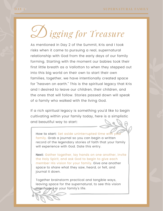D *igging for Treasure*

As mentioned in Day 2 of the Summit, Kris and I took risks when it came to pursuing a real, supernatural relationship with God from the early days of our family forming. Starting with the moment our babies took their first little breath as a Vallotton to when they stepped out into this big world on their own to start their own families, together, we have intentionally created space for "heaven on earth." This is the spiritual legacy that Kris and I desired to leave our children, their children, and the ones that will follow. Stories passed down will speak of a family who walked with the living God.

If a rich spiritual legacy is something you'd like to begin cultivating within your family today, here is a simplistic and beautiful way to start:

How to start: Set aside uninterrupted time with your family. Grab a journal so you can begin a written record of the legendary stories of faith that your family will experience with God. Date this entry.

Next: Gather together, lay hands on one another, invite the Holy Spirit, and ask God to begin to give each member His vision for your family. Give one another space to share what they saw, heard, or felt, and journal it down.

Together brainstorm practical and tangible ways, leaving space for the supernatural, to see this vision manifested in your family's life.

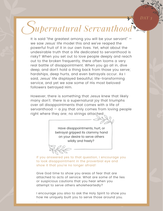### S*upernatural Servanthood*

*DAY 3*

It is said "the greatest among you will be your servant" we saw Jesus' life model this and we've reaped the powerful fruit of it in our own lives. Yet, what about the undesirable truth that a life dedicated to servanthood is risky? When you set out to love people deeply and reach out to the broken frequently, there often looms a very real battle of disappointment. When you go all in, dive deep, and don't hold a thing back from those you serve; hardships, deep hurts, and even betrayals occur. As I said, Jesus' life displayed beautiful, life-transforming service, and yet we saw some of His most beloved followers betrayed Him.

However, there is something that Jesus knew that likely many don't: there is a supernatural joy that triumphs over all disappointments that comes with a life of servanthood  $-$  a joy that only comes from loving people right where they are; no strings attached

> Have disappointments, hurt, or betrayal gripped its clammy hand on your desire to serve others wildly and freely?

If you answered yes to that question, I encourage you to look disappointment in the proverbial eye and show it that you're no longer afraid!

Give God time to show you areas of fear that are attached to acts of service. What are some of the lies or suspicious cautions that you hear when you attempt to serve others wholeheartedly?

I encourage you also to ask the Holy Spirit to show you how He uniquely built you to serve those around you.

.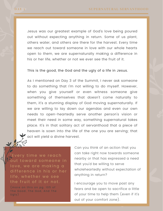Jesus was our greatest example of God's love being poured out without expecting anything in return. Some of us plant, others water, and others are there for the harvest. Every time we reach out toward someone in love with our whole hearts open to them, we are supernaturally making a difference in his or her life, whether or not we ever see the fruit of it.

This is the good, the God and the ugly of a life in Jesus.

As I mentioned on Day 3 of the Summit, I never ask someone to do something that I'm not willing to do myself. However, when you give yourself or even witness someone give something of themselves that doesn't come naturally to them, it's a stunning display of God moving supernaturally. If we are willing to lay down our agendas and even our own needs to open-heartedly serve another person's vision or meet their need in some way, something supernatural takes place. It's in that solitary act of servanthood that a piece of heaven is sown into the life of the one you are serving; that act will yield a divine harvest.

Every time we reach out toward someone in love, we are making a difference in his or her life, whether we see the fruit of it or not.

(more on this on pg.  $105$  of The Good, The God, And The  $Ug(y)$ 

Can you think of an action that you can take right now towards someone nearby or that has expressed a need that you'd be willing to serve wholeheartedly without expectation of anything in return?

I encourage you to move past any fears and be open to sacrifice a little of your time to help them (even if it's out of your comfort zone).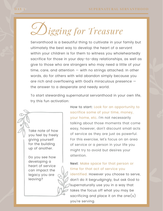D*igging for Treasure*

Servanthood is a beautiful thing to cultivate in your family but ultimately the best way to develop the heart of a servant within your children is for them to witness you wholeheartedly sacrifice for those in your day-to-day relationships, as well as give to those who are strangers who may need a little of your time, care, and attention  $-$  with no strings attached. In other words, do for others with wild abandon simply because you are rich and overflowing with God's miraculous presence the answer to a desperate and needy world.

To start stewarding supernatural servanthood in your own life, try this fun activation:

Take note of how you feel by freely giving yourself for the building up of another.

Do you see how developing a heart of service can impact the legacy you are leaving?

How to start: Look for an opportunity to sacrifice some of your time, money, your home, etc. I'm not necessarily talking about those moments that come easy, however, don't discount small acts of service as they are just as powerful. For this exercise, let's focus on an area of service or a person in your life you might try to avoid but desires your attention.

#### Next: Make space for that person or time for that act of service you

identified. However you choose to serve, don't do it begrudgingly, but ask God to supernaturally use you in a way that takes the focus off what you may be sacrificing and place it on the one $(s)$ you're serving.